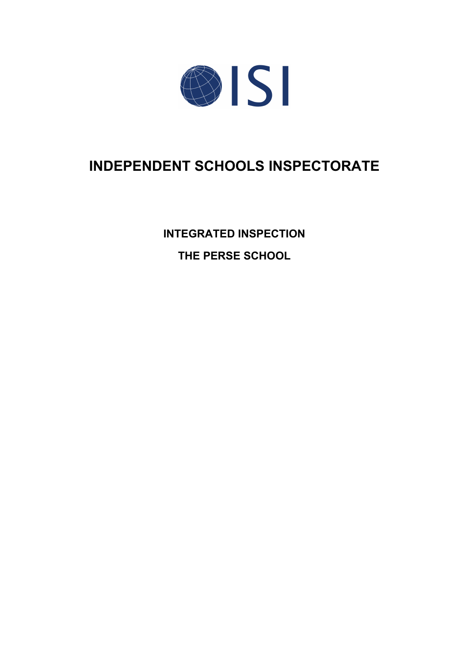

# **INDEPENDENT SCHOOLS INSPECTORATE**

**INTEGRATED INSPECTION THE PERSE SCHOOL**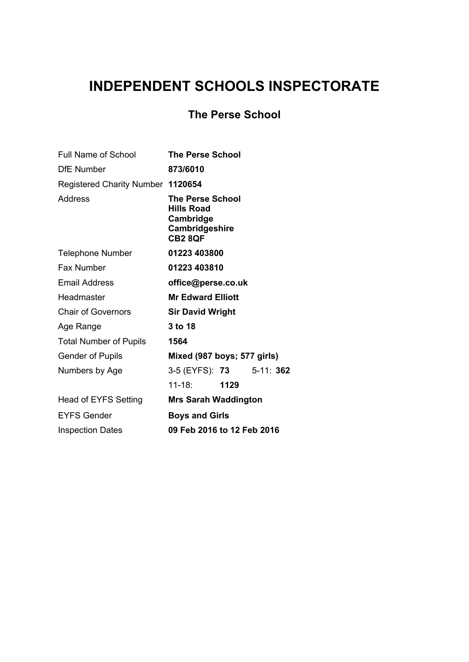## **INDEPENDENT SCHOOLS INSPECTORATE**

## **The Perse School**

| Full Name of School               | <b>The Perse School</b>                                                                |  |
|-----------------------------------|----------------------------------------------------------------------------------------|--|
| <b>DfE Number</b>                 | 873/6010                                                                               |  |
| Registered Charity Number 1120654 |                                                                                        |  |
| Address                           | The Perse School<br><b>Hills Road</b><br>Cambridge<br>Cambridgeshire<br><b>CB2 8QF</b> |  |
| <b>Telephone Number</b>           | 01223 403800                                                                           |  |
| <b>Fax Number</b>                 | 01223 403810                                                                           |  |
| <b>Email Address</b>              | office@perse.co.uk                                                                     |  |
| Headmaster                        | <b>Mr Edward Elliott</b>                                                               |  |
| <b>Chair of Governors</b>         | <b>Sir David Wright</b>                                                                |  |
| Age Range                         | 3 to 18                                                                                |  |
| <b>Total Number of Pupils</b>     | 1564                                                                                   |  |
| <b>Gender of Pupils</b>           | Mixed (987 boys; 577 girls)                                                            |  |
| Numbers by Age                    | 3-5 (EYFS): 73 5-11: 362                                                               |  |
|                                   | 11-18: 1129                                                                            |  |
| <b>Head of EYFS Setting</b>       | <b>Mrs Sarah Waddington</b>                                                            |  |
| <b>EYFS Gender</b>                | <b>Boys and Girls</b>                                                                  |  |
| <b>Inspection Dates</b>           | 09 Feb 2016 to 12 Feb 2016                                                             |  |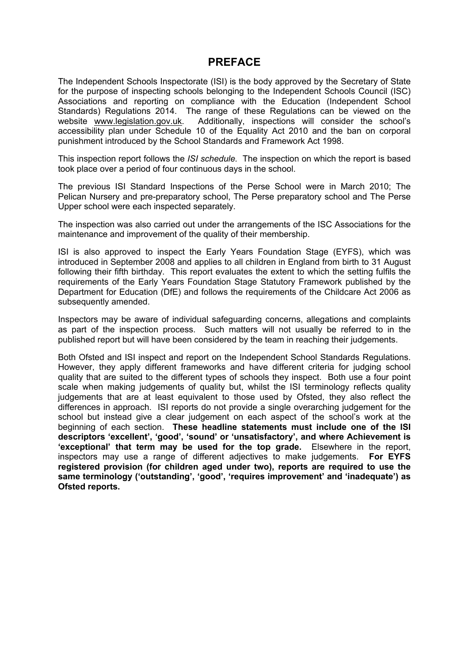## **PREFACE**

The Independent Schools Inspectorate (ISI) is the body approved by the Secretary of State for the purpose of inspecting schools belonging to the Independent Schools Council (ISC) Associations and reporting on compliance with the Education (Independent School Standards) Regulations 2014. The range of these Regulations can be viewed on the website [www.legislation.gov.uk.](http://www.legislation.gov.uk) Additionally, inspections will consider the school's accessibility plan under Schedule 10 of the Equality Act 2010 and the ban on corporal punishment introduced by the School Standards and Framework Act 1998.

This inspection report follows the *ISI schedule.* The inspection on which the report is based took place over a period of four continuous days in the school.

The previous ISI Standard Inspections of the Perse School were in March 2010; The Pelican Nursery and pre-preparatory school, The Perse preparatory school and The Perse Upper school were each inspected separately.

The inspection was also carried out under the arrangements of the ISC Associations for the maintenance and improvement of the quality of their membership.

ISI is also approved to inspect the Early Years Foundation Stage (EYFS), which was introduced in September 2008 and applies to all children in England from birth to 31 August following their fifth birthday. This report evaluates the extent to which the setting fulfils the requirements of the Early Years Foundation Stage Statutory Framework published by the Department for Education (DfE) and follows the requirements of the Childcare Act 2006 as subsequently amended.

Inspectors may be aware of individual safeguarding concerns, allegations and complaints as part of the inspection process. Such matters will not usually be referred to in the published report but will have been considered by the team in reaching their judgements.

Both Ofsted and ISI inspect and report on the Independent School Standards Regulations. However, they apply different frameworks and have different criteria for judging school quality that are suited to the different types of schools they inspect. Both use a four point scale when making judgements of quality but, whilst the ISI terminology reflects quality judgements that are at least equivalent to those used by Ofsted, they also reflect the differences in approach. ISI reports do not provide a single overarching judgement for the school but instead give a clear judgement on each aspect of the school's work at the beginning of each section. **These headline statements must include one of the ISI descriptors 'excellent', 'good', 'sound' or 'unsatisfactory', and where Achievement is 'exceptional' that term may be used for the top grade.** Elsewhere in the report, inspectors may use a range of different adjectives to make judgements. **For EYFS registered provision (for children aged under two), reports are required to use the same terminology ('outstanding', 'good', 'requires improvement' and 'inadequate') as Ofsted reports.**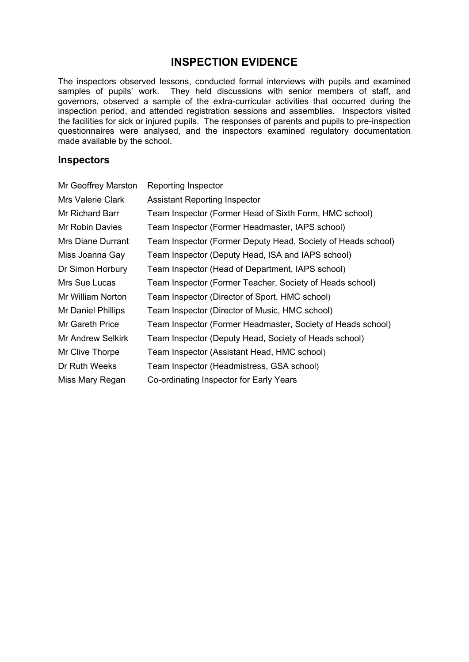## **INSPECTION EVIDENCE**

The inspectors observed lessons, conducted formal interviews with pupils and examined samples of pupils' work. They held discussions with senior members of staff, and governors, observed a sample of the extra-curricular activities that occurred during the inspection period, and attended registration sessions and assemblies. Inspectors visited the facilities for sick or injured pupils. The responses of parents and pupils to pre-inspection questionnaires were analysed, and the inspectors examined regulatory documentation made available by the school.

#### **Inspectors**

| Mr Geoffrey Marston      | Reporting Inspector                                          |
|--------------------------|--------------------------------------------------------------|
| Mrs Valerie Clark        | <b>Assistant Reporting Inspector</b>                         |
| Mr Richard Barr          | Team Inspector (Former Head of Sixth Form, HMC school)       |
| Mr Robin Davies          | Team Inspector (Former Headmaster, IAPS school)              |
| Mrs Diane Durrant        | Team Inspector (Former Deputy Head, Society of Heads school) |
| Miss Joanna Gay          | Team Inspector (Deputy Head, ISA and IAPS school)            |
| Dr Simon Horbury         | Team Inspector (Head of Department, IAPS school)             |
| Mrs Sue Lucas            | Team Inspector (Former Teacher, Society of Heads school)     |
| Mr William Norton        | Team Inspector (Director of Sport, HMC school)               |
| Mr Daniel Phillips       | Team Inspector (Director of Music, HMC school)               |
| Mr Gareth Price          | Team Inspector (Former Headmaster, Society of Heads school)  |
| <b>Mr Andrew Selkirk</b> | Team Inspector (Deputy Head, Society of Heads school)        |
| Mr Clive Thorpe          | Team Inspector (Assistant Head, HMC school)                  |
| Dr Ruth Weeks            | Team Inspector (Headmistress, GSA school)                    |
| Miss Mary Regan          | Co-ordinating Inspector for Early Years                      |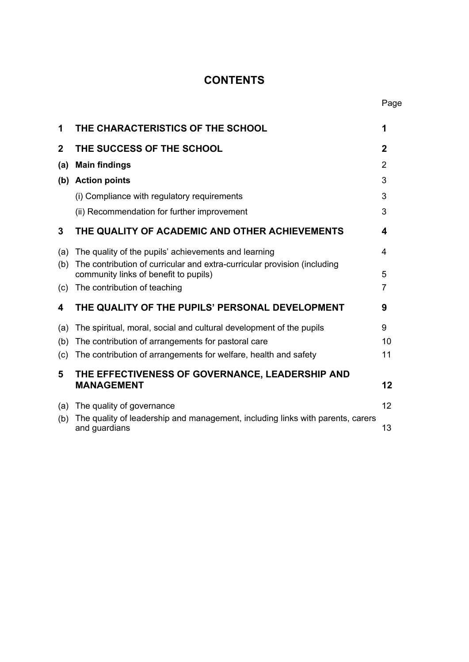## **CONTENTS**

| 1              | THE CHARACTERISTICS OF THE SCHOOL                                                                                 | 1           |
|----------------|-------------------------------------------------------------------------------------------------------------------|-------------|
| $\overline{2}$ | THE SUCCESS OF THE SCHOOL                                                                                         | $\mathbf 2$ |
| (a)            | <b>Main findings</b>                                                                                              | 2           |
| (b)            | <b>Action points</b>                                                                                              | 3           |
|                | (i) Compliance with regulatory requirements                                                                       | 3           |
|                | (ii) Recommendation for further improvement                                                                       | 3           |
| 3              | THE QUALITY OF ACADEMIC AND OTHER ACHIEVEMENTS                                                                    | 4           |
| (a)            | The quality of the pupils' achievements and learning                                                              | 4           |
| (b)            | The contribution of curricular and extra-curricular provision (including<br>community links of benefit to pupils) | 5           |
| (c)            | The contribution of teaching                                                                                      | 7           |
| 4              | THE QUALITY OF THE PUPILS' PERSONAL DEVELOPMENT                                                                   | 9           |
| (a)            | The spiritual, moral, social and cultural development of the pupils                                               | 9           |
| (b)            | The contribution of arrangements for pastoral care                                                                | 10          |
| (c)            | The contribution of arrangements for welfare, health and safety                                                   | 11          |
| 5              | THE EFFECTIVENESS OF GOVERNANCE, LEADERSHIP AND<br><b>MANAGEMENT</b>                                              | 12          |
| (a)            | The quality of governance                                                                                         | 12          |
| (b)            | The quality of leadership and management, including links with parents, carers<br>and guardians                   | 13          |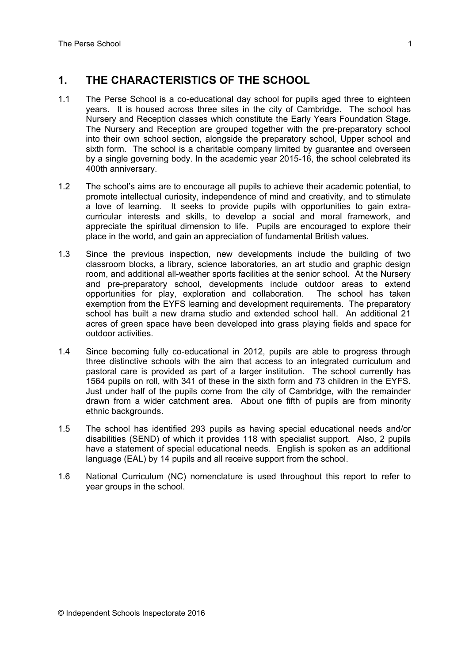## **1. THE CHARACTERISTICS OF THE SCHOOL**

- 1.1 The Perse School is a co-educational day school for pupils aged three to eighteen years. It is housed across three sites in the city of Cambridge. The school has Nursery and Reception classes which constitute the Early Years Foundation Stage. The Nursery and Reception are grouped together with the pre-preparatory school into their own school section, alongside the preparatory school, Upper school and sixth form. The school is a charitable company limited by guarantee and overseen by a single governing body. In the academic year 2015-16, the school celebrated its 400th anniversary.
- 1.2 The school's aims are to encourage all pupils to achieve their academic potential, to promote intellectual curiosity, independence of mind and creativity, and to stimulate a love of learning. It seeks to provide pupils with opportunities to gain extracurricular interests and skills, to develop a social and moral framework, and appreciate the spiritual dimension to life. Pupils are encouraged to explore their place in the world, and gain an appreciation of fundamental British values.
- 1.3 Since the previous inspection, new developments include the building of two classroom blocks, a library, science laboratories, an art studio and graphic design room, and additional all-weather sports facilities at the senior school. At the Nursery and pre-preparatory school, developments include outdoor areas to extend opportunities for play, exploration and collaboration. The school has taken exemption from the EYFS learning and development requirements. The preparatory school has built a new drama studio and extended school hall. An additional 21 acres of green space have been developed into grass playing fields and space for outdoor activities.
- 1.4 Since becoming fully co-educational in 2012, pupils are able to progress through three distinctive schools with the aim that access to an integrated curriculum and pastoral care is provided as part of a larger institution. The school currently has 1564 pupils on roll, with 341 of these in the sixth form and 73 children in the EYFS. Just under half of the pupils come from the city of Cambridge, with the remainder drawn from a wider catchment area. About one fifth of pupils are from minority ethnic backgrounds.
- 1.5 The school has identified 293 pupils as having special educational needs and/or disabilities (SEND) of which it provides 118 with specialist support. Also, 2 pupils have a statement of special educational needs. English is spoken as an additional language (EAL) by 14 pupils and all receive support from the school.
- 1.6 National Curriculum (NC) nomenclature is used throughout this report to refer to year groups in the school.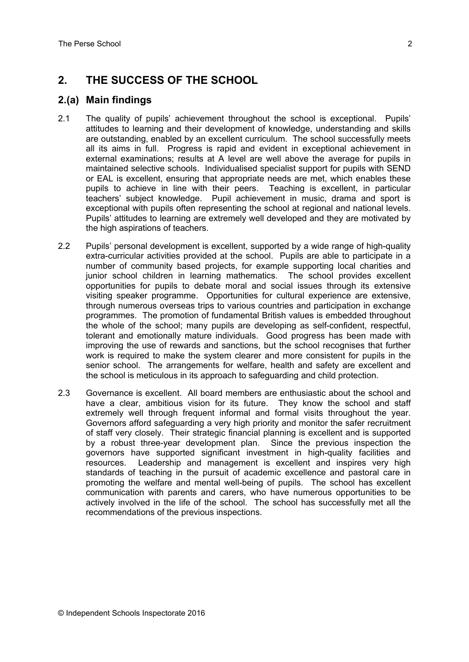## **2. THE SUCCESS OF THE SCHOOL**

### **2.(a) Main findings**

- 2.1 The quality of pupils' achievement throughout the school is exceptional. Pupils' attitudes to learning and their development of knowledge, understanding and skills are outstanding, enabled by an excellent curriculum. The school successfully meets all its aims in full. Progress is rapid and evident in exceptional achievement in external examinations; results at A level are well above the average for pupils in maintained selective schools. Individualised specialist support for pupils with SEND or EAL is excellent, ensuring that appropriate needs are met, which enables these pupils to achieve in line with their peers. Teaching is excellent, in particular teachers' subject knowledge. Pupil achievement in music, drama and sport is exceptional with pupils often representing the school at regional and national levels. Pupils' attitudes to learning are extremely well developed and they are motivated by the high aspirations of teachers.
- 2.2 Pupils' personal development is excellent, supported by a wide range of high-quality extra-curricular activities provided at the school. Pupils are able to participate in a number of community based projects, for example supporting local charities and junior school children in learning mathematics. The school provides excellent opportunities for pupils to debate moral and social issues through its extensive visiting speaker programme. Opportunities for cultural experience are extensive, through numerous overseas trips to various countries and participation in exchange programmes. The promotion of fundamental British values is embedded throughout the whole of the school; many pupils are developing as self-confident, respectful, tolerant and emotionally mature individuals. Good progress has been made with improving the use of rewards and sanctions, but the school recognises that further work is required to make the system clearer and more consistent for pupils in the senior school. The arrangements for welfare, health and safety are excellent and the school is meticulous in its approach to safeguarding and child protection.
- 2.3 Governance is excellent. All board members are enthusiastic about the school and have a clear, ambitious vision for its future. They know the school and staff extremely well through frequent informal and formal visits throughout the year. Governors afford safeguarding a very high priority and monitor the safer recruitment of staff very closely. Their strategic financial planning is excellent and is supported by a robust three-year development plan. Since the previous inspection the governors have supported significant investment in high-quality facilities and resources. Leadership and management is excellent and inspires very high standards of teaching in the pursuit of academic excellence and pastoral care in promoting the welfare and mental well-being of pupils. The school has excellent communication with parents and carers, who have numerous opportunities to be actively involved in the life of the school. The school has successfully met all the recommendations of the previous inspections.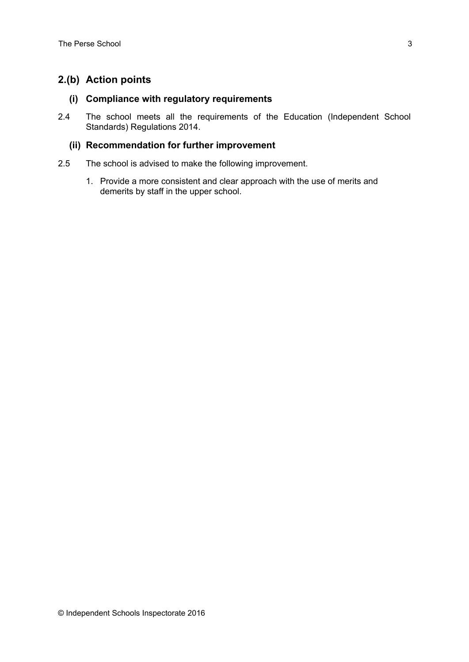## **2.(b) Action points**

#### **(i) Compliance with regulatory requirements**

2.4 The school meets all the requirements of the Education (Independent School Standards) Regulations 2014.

#### **(ii) Recommendation for further improvement**

- 2.5 The school is advised to make the following improvement.
	- 1. Provide a more consistent and clear approach with the use of merits and demerits by staff in the upper school.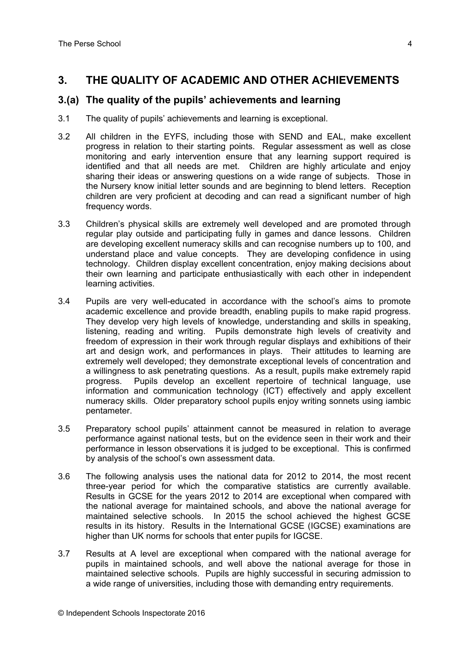## **3. THE QUALITY OF ACADEMIC AND OTHER ACHIEVEMENTS**

#### **3.(a) The quality of the pupils' achievements and learning**

- 3.1 The quality of pupils' achievements and learning is exceptional.
- 3.2 All children in the EYFS, including those with SEND and EAL, make excellent progress in relation to their starting points. Regular assessment as well as close monitoring and early intervention ensure that any learning support required is identified and that all needs are met. Children are highly articulate and enjoy sharing their ideas or answering questions on a wide range of subjects. Those in the Nursery know initial letter sounds and are beginning to blend letters. Reception children are very proficient at decoding and can read a significant number of high frequency words.
- 3.3 Children's physical skills are extremely well developed and are promoted through regular play outside and participating fully in games and dance lessons. Children are developing excellent numeracy skills and can recognise numbers up to 100, and understand place and value concepts. They are developing confidence in using technology. Children display excellent concentration, enjoy making decisions about their own learning and participate enthusiastically with each other in independent learning activities.
- 3.4 Pupils are very well-educated in accordance with the school's aims to promote academic excellence and provide breadth, enabling pupils to make rapid progress. They develop very high levels of knowledge, understanding and skills in speaking, listening, reading and writing. Pupils demonstrate high levels of creativity and freedom of expression in their work through regular displays and exhibitions of their art and design work, and performances in plays. Their attitudes to learning are extremely well developed; they demonstrate exceptional levels of concentration and a willingness to ask penetrating questions. As a result, pupils make extremely rapid progress. Pupils develop an excellent repertoire of technical language, use information and communication technology (ICT) effectively and apply excellent numeracy skills. Older preparatory school pupils enjoy writing sonnets using iambic pentameter.
- 3.5 Preparatory school pupils' attainment cannot be measured in relation to average performance against national tests, but on the evidence seen in their work and their performance in lesson observations it is judged to be exceptional. This is confirmed by analysis of the school's own assessment data.
- 3.6 The following analysis uses the national data for 2012 to 2014, the most recent three-year period for which the comparative statistics are currently available. Results in GCSE for the years 2012 to 2014 are exceptional when compared with the national average for maintained schools, and above the national average for maintained selective schools. In 2015 the school achieved the highest GCSE results in its history. Results in the International GCSE (IGCSE) examinations are higher than UK norms for schools that enter pupils for IGCSE.
- 3.7 Results at A level are exceptional when compared with the national average for pupils in maintained schools, and well above the national average for those in maintained selective schools. Pupils are highly successful in securing admission to a wide range of universities, including those with demanding entry requirements.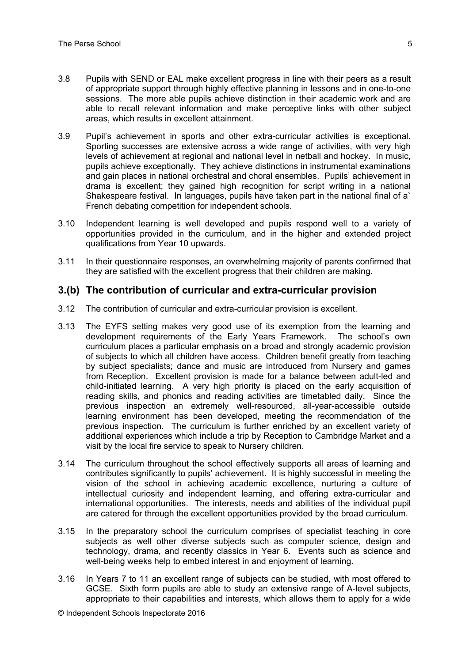- 3.8 Pupils with SEND or EAL make excellent progress in line with their peers as a result of appropriate support through highly effective planning in lessons and in one-to-one sessions. The more able pupils achieve distinction in their academic work and are able to recall relevant information and make perceptive links with other subject areas, which results in excellent attainment.
- 3.9 Pupil's achievement in sports and other extra-curricular activities is exceptional. Sporting successes are extensive across a wide range of activities, with very high levels of achievement at regional and national level in netball and hockey. In music, pupils achieve exceptionally. They achieve distinctions in instrumental examinations and gain places in national orchestral and choral ensembles. Pupils' achievement in drama is excellent; they gained high recognition for script writing in a national Shakespeare festival. In languages, pupils have taken part in the national final of a` French debating competition for independent schools.
- 3.10 Independent learning is well developed and pupils respond well to a variety of opportunities provided in the curriculum, and in the higher and extended project qualifications from Year 10 upwards.
- 3.11 In their questionnaire responses, an overwhelming majority of parents confirmed that they are satisfied with the excellent progress that their children are making.

#### **3.(b) The contribution of curricular and extra-curricular provision**

- 3.12 The contribution of curricular and extra-curricular provision is excellent.
- 3.13 The EYFS setting makes very good use of its exemption from the learning and development requirements of the Early Years Framework. The school's own curriculum places a particular emphasis on a broad and strongly academic provision of subjects to which all children have access. Children benefit greatly from teaching by subject specialists; dance and music are introduced from Nursery and games from Reception. Excellent provision is made for a balance between adult-led and child-initiated learning. A very high priority is placed on the early acquisition of reading skills, and phonics and reading activities are timetabled daily. Since the previous inspection an extremely well-resourced, all-year-accessible outside learning environment has been developed, meeting the recommendation of the previous inspection. The curriculum is further enriched by an excellent variety of additional experiences which include a trip by Reception to Cambridge Market and a visit by the local fire service to speak to Nursery children.
- 3.14 The curriculum throughout the school effectively supports all areas of learning and contributes significantly to pupils' achievement. It is highly successful in meeting the vision of the school in achieving academic excellence, nurturing a culture of intellectual curiosity and independent learning, and offering extra-curricular and international opportunities. The interests, needs and abilities of the individual pupil are catered for through the excellent opportunities provided by the broad curriculum.
- 3.15 In the preparatory school the curriculum comprises of specialist teaching in core subjects as well other diverse subjects such as computer science, design and technology, drama, and recently classics in Year 6. Events such as science and well-being weeks help to embed interest in and enjoyment of learning.
- 3.16 In Years 7 to 11 an excellent range of subjects can be studied, with most offered to GCSE. Sixth form pupils are able to study an extensive range of A-level subjects, appropriate to their capabilities and interests, which allows them to apply for a wide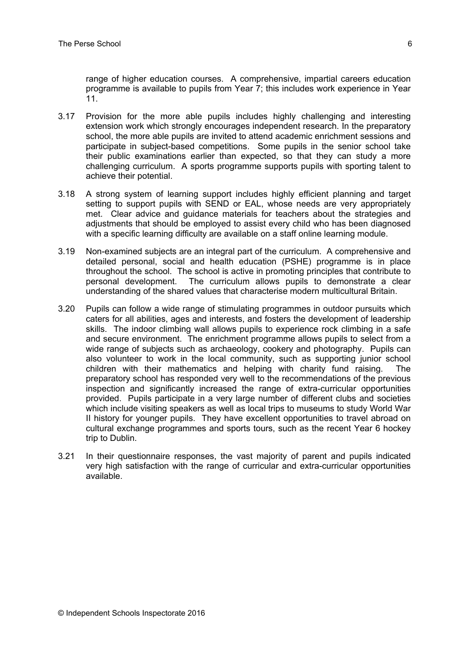range of higher education courses. A comprehensive, impartial careers education programme is available to pupils from Year 7; this includes work experience in Year 11.

- 3.17 Provision for the more able pupils includes highly challenging and interesting extension work which strongly encourages independent research. In the preparatory school, the more able pupils are invited to attend academic enrichment sessions and participate in subject-based competitions. Some pupils in the senior school take their public examinations earlier than expected, so that they can study a more challenging curriculum. A sports programme supports pupils with sporting talent to achieve their potential.
- 3.18 A strong system of learning support includes highly efficient planning and target setting to support pupils with SEND or EAL, whose needs are very appropriately met. Clear advice and guidance materials for teachers about the strategies and adjustments that should be employed to assist every child who has been diagnosed with a specific learning difficulty are available on a staff online learning module.
- 3.19 Non-examined subjects are an integral part of the curriculum. A comprehensive and detailed personal, social and health education (PSHE) programme is in place throughout the school. The school is active in promoting principles that contribute to personal development. The curriculum allows pupils to demonstrate a clear understanding of the shared values that characterise modern multicultural Britain.
- 3.20 Pupils can follow a wide range of stimulating programmes in outdoor pursuits which caters for all abilities, ages and interests, and fosters the development of leadership skills. The indoor climbing wall allows pupils to experience rock climbing in a safe and secure environment. The enrichment programme allows pupils to select from a wide range of subjects such as archaeology, cookery and photography. Pupils can also volunteer to work in the local community, such as supporting junior school children with their mathematics and helping with charity fund raising. The preparatory school has responded very well to the recommendations of the previous inspection and significantly increased the range of extra-curricular opportunities provided. Pupils participate in a very large number of different clubs and societies which include visiting speakers as well as local trips to museums to study World War II history for younger pupils. They have excellent opportunities to travel abroad on cultural exchange programmes and sports tours, such as the recent Year 6 hockey trip to Dublin.
- 3.21 In their questionnaire responses, the vast majority of parent and pupils indicated very high satisfaction with the range of curricular and extra-curricular opportunities available.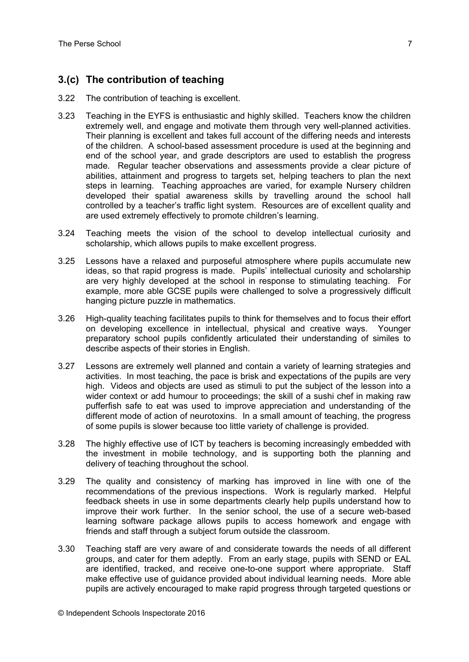## **3.(c) The contribution of teaching**

- 3.22 The contribution of teaching is excellent.
- 3.23 Teaching in the EYFS is enthusiastic and highly skilled. Teachers know the children extremely well, and engage and motivate them through very well-planned activities. Their planning is excellent and takes full account of the differing needs and interests of the children. A school-based assessment procedure is used at the beginning and end of the school year, and grade descriptors are used to establish the progress made. Regular teacher observations and assessments provide a clear picture of abilities, attainment and progress to targets set, helping teachers to plan the next steps in learning. Teaching approaches are varied, for example Nursery children developed their spatial awareness skills by travelling around the school hall controlled by a teacher's traffic light system. Resources are of excellent quality and are used extremely effectively to promote children's learning.
- 3.24 Teaching meets the vision of the school to develop intellectual curiosity and scholarship, which allows pupils to make excellent progress.
- 3.25 Lessons have a relaxed and purposeful atmosphere where pupils accumulate new ideas, so that rapid progress is made. Pupils' intellectual curiosity and scholarship are very highly developed at the school in response to stimulating teaching. For example, more able GCSE pupils were challenged to solve a progressively difficult hanging picture puzzle in mathematics.
- 3.26 High-quality teaching facilitates pupils to think for themselves and to focus their effort on developing excellence in intellectual, physical and creative ways. Younger preparatory school pupils confidently articulated their understanding of similes to describe aspects of their stories in English.
- 3.27 Lessons are extremely well planned and contain a variety of learning strategies and activities. In most teaching, the pace is brisk and expectations of the pupils are very high. Videos and objects are used as stimuli to put the subject of the lesson into a wider context or add humour to proceedings; the skill of a sushi chef in making raw pufferfish safe to eat was used to improve appreciation and understanding of the different mode of action of neurotoxins. In a small amount of teaching, the progress of some pupils is slower because too little variety of challenge is provided.
- 3.28 The highly effective use of ICT by teachers is becoming increasingly embedded with the investment in mobile technology, and is supporting both the planning and delivery of teaching throughout the school.
- 3.29 The quality and consistency of marking has improved in line with one of the recommendations of the previous inspections. Work is regularly marked. Helpful feedback sheets in use in some departments clearly help pupils understand how to improve their work further. In the senior school, the use of a secure web-based learning software package allows pupils to access homework and engage with friends and staff through a subject forum outside the classroom.
- 3.30 Teaching staff are very aware of and considerate towards the needs of all different groups, and cater for them adeptly. From an early stage, pupils with SEND or EAL are identified, tracked, and receive one-to-one support where appropriate. Staff make effective use of guidance provided about individual learning needs. More able pupils are actively encouraged to make rapid progress through targeted questions or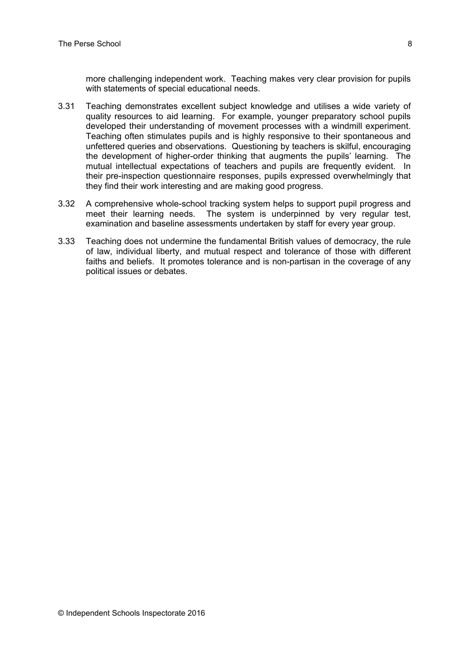more challenging independent work. Teaching makes very clear provision for pupils with statements of special educational needs.

- 3.31 Teaching demonstrates excellent subject knowledge and utilises a wide variety of quality resources to aid learning. For example, younger preparatory school pupils developed their understanding of movement processes with a windmill experiment. Teaching often stimulates pupils and is highly responsive to their spontaneous and unfettered queries and observations. Questioning by teachers is skilful, encouraging the development of higher-order thinking that augments the pupils' learning. The mutual intellectual expectations of teachers and pupils are frequently evident. In their pre-inspection questionnaire responses, pupils expressed overwhelmingly that they find their work interesting and are making good progress.
- 3.32 A comprehensive whole-school tracking system helps to support pupil progress and meet their learning needs. The system is underpinned by very regular test, examination and baseline assessments undertaken by staff for every year group.
- 3.33 Teaching does not undermine the fundamental British values of democracy, the rule of law, individual liberty, and mutual respect and tolerance of those with different faiths and beliefs. It promotes tolerance and is non-partisan in the coverage of any political issues or debates.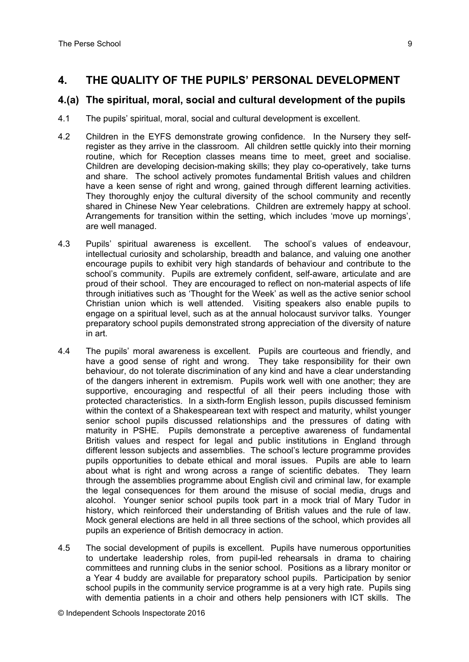## **4. THE QUALITY OF THE PUPILS' PERSONAL DEVELOPMENT**

#### **4.(a) The spiritual, moral, social and cultural development of the pupils**

- 4.1 The pupils' spiritual, moral, social and cultural development is excellent.
- 4.2 Children in the EYFS demonstrate growing confidence. In the Nursery they selfregister as they arrive in the classroom. All children settle quickly into their morning routine, which for Reception classes means time to meet, greet and socialise. Children are developing decision-making skills; they play co-operatively, take turns and share. The school actively promotes fundamental British values and children have a keen sense of right and wrong, gained through different learning activities. They thoroughly enjoy the cultural diversity of the school community and recently shared in Chinese New Year celebrations. Children are extremely happy at school. Arrangements for transition within the setting, which includes 'move up mornings', are well managed.
- 4.3 Pupils' spiritual awareness is excellent. The school's values of endeavour, intellectual curiosity and scholarship, breadth and balance, and valuing one another encourage pupils to exhibit very high standards of behaviour and contribute to the school's community. Pupils are extremely confident, self-aware, articulate and are proud of their school. They are encouraged to reflect on non-material aspects of life through initiatives such as 'Thought for the Week' as well as the active senior school Christian union which is well attended. Visiting speakers also enable pupils to engage on a spiritual level, such as at the annual holocaust survivor talks. Younger preparatory school pupils demonstrated strong appreciation of the diversity of nature in art.
- 4.4 The pupils' moral awareness is excellent. Pupils are courteous and friendly, and have a good sense of right and wrong. They take responsibility for their own behaviour, do not tolerate discrimination of any kind and have a clear understanding of the dangers inherent in extremism. Pupils work well with one another; they are supportive, encouraging and respectful of all their peers including those with protected characteristics. In a sixth-form English lesson, pupils discussed feminism within the context of a Shakespearean text with respect and maturity, whilst younger senior school pupils discussed relationships and the pressures of dating with maturity in PSHE. Pupils demonstrate a perceptive awareness of fundamental British values and respect for legal and public institutions in England through different lesson subjects and assemblies. The school's lecture programme provides pupils opportunities to debate ethical and moral issues. Pupils are able to learn about what is right and wrong across a range of scientific debates. They learn through the assemblies programme about English civil and criminal law, for example the legal consequences for them around the misuse of social media, drugs and alcohol. Younger senior school pupils took part in a mock trial of Mary Tudor in history, which reinforced their understanding of British values and the rule of law. Mock general elections are held in all three sections of the school, which provides all pupils an experience of British democracy in action.
- 4.5 The social development of pupils is excellent. Pupils have numerous opportunities to undertake leadership roles, from pupil-led rehearsals in drama to chairing committees and running clubs in the senior school. Positions as a library monitor or a Year 4 buddy are available for preparatory school pupils. Participation by senior school pupils in the community service programme is at a very high rate. Pupils sing with dementia patients in a choir and others help pensioners with ICT skills. The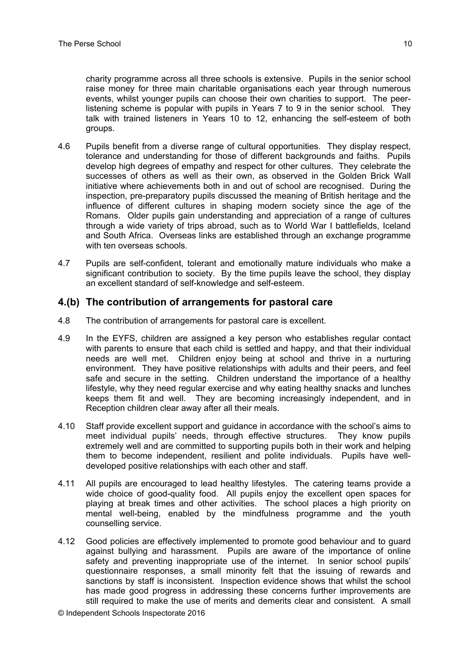charity programme across all three schools is extensive. Pupils in the senior school raise money for three main charitable organisations each year through numerous events, whilst younger pupils can choose their own charities to support. The peerlistening scheme is popular with pupils in Years 7 to 9 in the senior school. They talk with trained listeners in Years 10 to 12, enhancing the self-esteem of both groups.

- 4.6 Pupils benefit from a diverse range of cultural opportunities. They display respect, tolerance and understanding for those of different backgrounds and faiths. Pupils develop high degrees of empathy and respect for other cultures. They celebrate the successes of others as well as their own, as observed in the Golden Brick Wall initiative where achievements both in and out of school are recognised. During the inspection, pre-preparatory pupils discussed the meaning of British heritage and the influence of different cultures in shaping modern society since the age of the Romans. Older pupils gain understanding and appreciation of a range of cultures through a wide variety of trips abroad, such as to World War I battlefields, Iceland and South Africa. Overseas links are established through an exchange programme with ten overseas schools.
- 4.7 Pupils are self-confident, tolerant and emotionally mature individuals who make a significant contribution to society. By the time pupils leave the school, they display an excellent standard of self-knowledge and self-esteem.

#### **4.(b) The contribution of arrangements for pastoral care**

- 4.8 The contribution of arrangements for pastoral care is excellent.
- 4.9 In the EYFS, children are assigned a key person who establishes regular contact with parents to ensure that each child is settled and happy, and that their individual needs are well met. Children enjoy being at school and thrive in a nurturing environment. They have positive relationships with adults and their peers, and feel safe and secure in the setting. Children understand the importance of a healthy lifestyle, why they need regular exercise and why eating healthy snacks and lunches keeps them fit and well. They are becoming increasingly independent, and in Reception children clear away after all their meals.
- 4.10 Staff provide excellent support and guidance in accordance with the school's aims to meet individual pupils' needs, through effective structures. They know pupils extremely well and are committed to supporting pupils both in their work and helping them to become independent, resilient and polite individuals. Pupils have welldeveloped positive relationships with each other and staff.
- 4.11 All pupils are encouraged to lead healthy lifestyles. The catering teams provide a wide choice of good-quality food. All pupils enjoy the excellent open spaces for playing at break times and other activities. The school places a high priority on mental well-being, enabled by the mindfulness programme and the youth counselling service.
- 4.12 Good policies are effectively implemented to promote good behaviour and to guard against bullying and harassment. Pupils are aware of the importance of online safety and preventing inappropriate use of the internet. In senior school pupils' questionnaire responses, a small minority felt that the issuing of rewards and sanctions by staff is inconsistent. Inspection evidence shows that whilst the school has made good progress in addressing these concerns further improvements are still required to make the use of merits and demerits clear and consistent. A small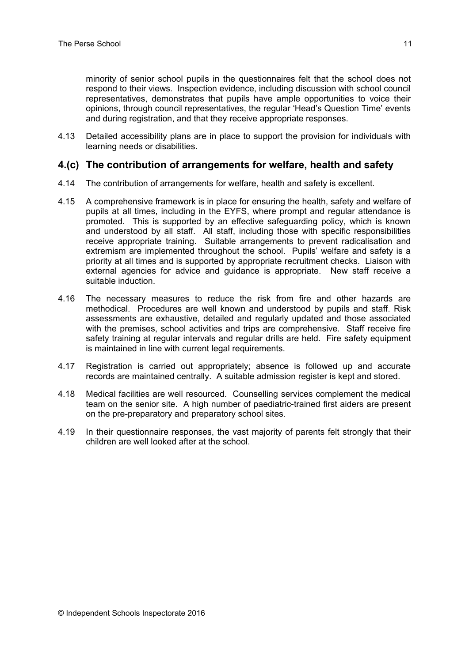minority of senior school pupils in the questionnaires felt that the school does not respond to their views. Inspection evidence, including discussion with school council representatives, demonstrates that pupils have ample opportunities to voice their opinions, through council representatives, the regular 'Head's Question Time' events and during registration, and that they receive appropriate responses.

4.13 Detailed accessibility plans are in place to support the provision for individuals with learning needs or disabilities.

#### **4.(c) The contribution of arrangements for welfare, health and safety**

- 4.14 The contribution of arrangements for welfare, health and safety is excellent.
- 4.15 A comprehensive framework is in place for ensuring the health, safety and welfare of pupils at all times, including in the EYFS, where prompt and regular attendance is promoted. This is supported by an effective safeguarding policy, which is known and understood by all staff. All staff, including those with specific responsibilities receive appropriate training. Suitable arrangements to prevent radicalisation and extremism are implemented throughout the school. Pupils' welfare and safety is a priority at all times and is supported by appropriate recruitment checks. Liaison with external agencies for advice and guidance is appropriate. New staff receive a suitable induction.
- 4.16 The necessary measures to reduce the risk from fire and other hazards are methodical. Procedures are well known and understood by pupils and staff. Risk assessments are exhaustive, detailed and regularly updated and those associated with the premises, school activities and trips are comprehensive. Staff receive fire safety training at regular intervals and regular drills are held. Fire safety equipment is maintained in line with current legal requirements.
- 4.17 Registration is carried out appropriately; absence is followed up and accurate records are maintained centrally. A suitable admission register is kept and stored.
- 4.18 Medical facilities are well resourced. Counselling services complement the medical team on the senior site. A high number of paediatric-trained first aiders are present on the pre-preparatory and preparatory school sites.
- 4.19 In their questionnaire responses, the vast majority of parents felt strongly that their children are well looked after at the school.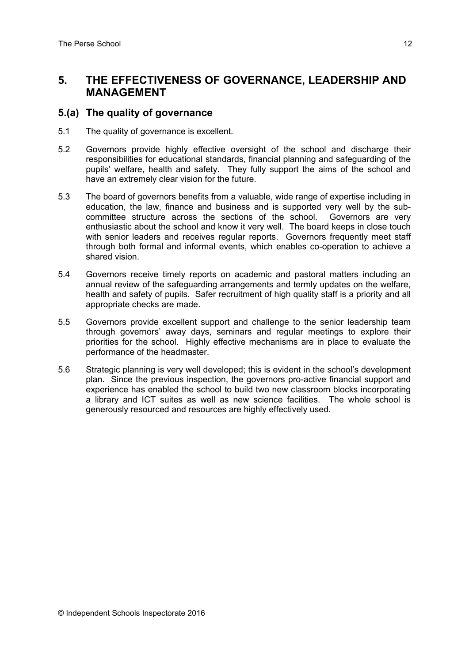## **5. THE EFFECTIVENESS OF GOVERNANCE, LEADERSHIP AND MANAGEMENT**

#### **5.(a) The quality of governance**

- 5.1 The quality of governance is excellent.
- 5.2 Governors provide highly effective oversight of the school and discharge their responsibilities for educational standards, financial planning and safeguarding of the pupils' welfare, health and safety. They fully support the aims of the school and have an extremely clear vision for the future.
- 5.3 The board of governors benefits from a valuable, wide range of expertise including in education, the law, finance and business and is supported very well by the subcommittee structure across the sections of the school. Governors are very enthusiastic about the school and know it very well. The board keeps in close touch with senior leaders and receives regular reports. Governors frequently meet staff through both formal and informal events, which enables co-operation to achieve a shared vision.
- 5.4 Governors receive timely reports on academic and pastoral matters including an annual review of the safeguarding arrangements and termly updates on the welfare, health and safety of pupils. Safer recruitment of high quality staff is a priority and all appropriate checks are made.
- 5.5 Governors provide excellent support and challenge to the senior leadership team through governors' away days, seminars and regular meetings to explore their priorities for the school. Highly effective mechanisms are in place to evaluate the performance of the headmaster.
- 5.6 Strategic planning is very well developed; this is evident in the school's development plan. Since the previous inspection, the governors pro-active financial support and experience has enabled the school to build two new classroom blocks incorporating a library and ICT suites as well as new science facilities. The whole school is generously resourced and resources are highly effectively used.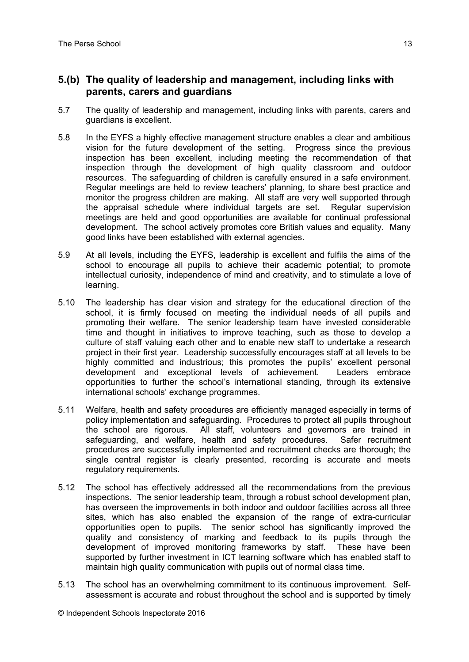#### **5.(b) The quality of leadership and management, including links with parents, carers and guardians**

- 5.7 The quality of leadership and management, including links with parents, carers and guardians is excellent.
- 5.8 In the EYFS a highly effective management structure enables a clear and ambitious vision for the future development of the setting. Progress since the previous inspection has been excellent, including meeting the recommendation of that inspection through the development of high quality classroom and outdoor resources. The safeguarding of children is carefully ensured in a safe environment. Regular meetings are held to review teachers' planning, to share best practice and monitor the progress children are making. All staff are very well supported through the appraisal schedule where individual targets are set. Regular supervision meetings are held and good opportunities are available for continual professional development. The school actively promotes core British values and equality. Many good links have been established with external agencies.
- 5.9 At all levels, including the EYFS, leadership is excellent and fulfils the aims of the school to encourage all pupils to achieve their academic potential; to promote intellectual curiosity, independence of mind and creativity, and to stimulate a love of learning.
- 5.10 The leadership has clear vision and strategy for the educational direction of the school, it is firmly focused on meeting the individual needs of all pupils and promoting their welfare. The senior leadership team have invested considerable time and thought in initiatives to improve teaching, such as those to develop a culture of staff valuing each other and to enable new staff to undertake a research project in their first year. Leadership successfully encourages staff at all levels to be highly committed and industrious; this promotes the pupils' excellent personal development and exceptional levels of achievement. Leaders embrace opportunities to further the school's international standing, through its extensive international schools' exchange programmes.
- 5.11 Welfare, health and safety procedures are efficiently managed especially in terms of policy implementation and safeguarding. Procedures to protect all pupils throughout the school are rigorous. All staff, volunteers and governors are trained in safeguarding, and welfare, health and safety procedures. Safer recruitment procedures are successfully implemented and recruitment checks are thorough; the single central register is clearly presented, recording is accurate and meets regulatory requirements.
- 5.12 The school has effectively addressed all the recommendations from the previous inspections. The senior leadership team, through a robust school development plan, has overseen the improvements in both indoor and outdoor facilities across all three sites, which has also enabled the expansion of the range of extra-curricular opportunities open to pupils. The senior school has significantly improved the quality and consistency of marking and feedback to its pupils through the development of improved monitoring frameworks by staff. These have been supported by further investment in ICT learning software which has enabled staff to maintain high quality communication with pupils out of normal class time.
- 5.13 The school has an overwhelming commitment to its continuous improvement. Selfassessment is accurate and robust throughout the school and is supported by timely